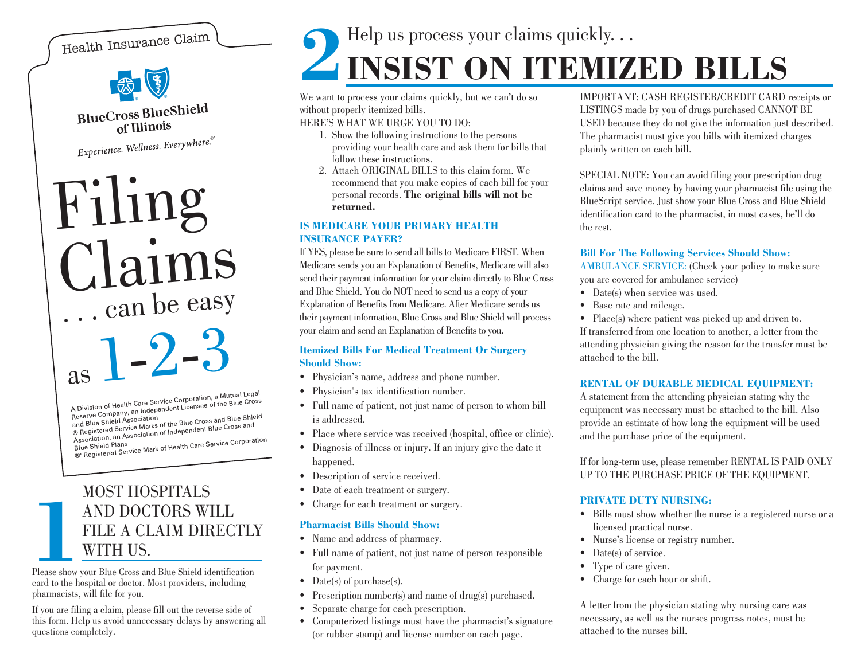## Health Insurance Claim



**BlueCross BlueShield** of Illinois

Experience. Wellness. Everywhere.<sup>®</sup>

### Filing Claims . . . can be easy as  $\bf{l}$ -2-3

A Division of Health Care Service Corporation, a Mutual Legal<br>Reserve Company, an Independent Licensee of the Blue Cross **Charles Charles Charles Containers** of the Blue Cross and Blue Shield<br>
® Registered Service Marks of the Blue Cross and Blue Shield Association, an Association of Independent Blue Cross and

®' Registered Service Mark of Health Care Service Corporation

## MOST HOSPITALS**AND DOCTORS WILL FILE A CLAIM DIRECT WITH US.** FILE A CLAIM DIRECTLY

Please show your Blue Cross and Blue Shield identification card to the hospital or doctor. Most providers, including <sup>p</sup>harmacists, will file for you.

If you are filing a claim, please fill out the reverse side of this form. Help us avoid unnecessary delays by answering all questions completely.

# Help us process your claims quickly. . . **2INSIST ON ITEMIZED BILLS**

We want to process your claims quickly, but we can't do so without properly itemized bills.

HERE'S WHAT WE URGE YOU TO DO:

- 1. Show the following instructions to the persons providing your health care and ask them for bills that follow these instructions.
- 2. Attach ORIGINAL BILLS to this claim form. Werecommend that you make copies of each bill for your personal records. **The original bills will not be returned.**

#### **IS MEDICARE YOUR PRIMARY HEALTHINSURANCE PAYER?**

If YES, please be sure to send all bills to Medicare FIRST. When Medicare sends you an Explanation of Benefits, Medicare will also send their payment information for your claim directly to Blue Cross and Blue Shield. You do NOT need to send us a copy of your Explanation of Benefits from Medicare. After Medicare sends us their payment information, Blue Cross and Blue Shield will process your claim and send an Explanation of Benefits to you.

#### **Itemized Bills For Medical Treatment Or Surgery Should Show:**

- Physician's name, address and phone number.
- Physician's tax identification number.
- Full name of patient, not just name of person to whom bill is addressed.
- Place where service was received (hospital, office or clinic).
- Diagnosis of illness or injury. If an injury give the date it happened.
- Description of service received.
- Date of each treatment or surgery.
- Charge for each treatment or surgery.

#### **Pharmacist Bills Should Show:**

- Name and address of pharmacy.
- Full name of patient, not just name of person responsible for payment.
- Date(s) of purchase(s).
- Prescription number(s) and name of drug(s) purchased.
- Separate charge for each prescription.
- Computerized listings must have the pharmacist's signature (or rubber stamp) and license number on each page.

IMPORTANT: CASH REGISTER/CREDIT CARD receipts or LISTINGS made by you of drugs purchased CANNOT BE USED because they do not give the information just described. The pharmacist must give you bills with itemized charges <sup>p</sup>lainly written on each bill.

SPECIAL NOTE: You can avoid filing your prescription drug claims and save money by having your pharmacist file using the BlueScript service. Just show your Blue Cross and Blue Shield identification card to the pharmacist, in most cases, he'll do the rest.

#### **Bill For The Following Services Should Show:**

AMBULANCE SERVICE: (Check your policy to make sure you are covered for ambulance service)

- Date(s) when service was used.
- Base rate and mileage.

• Place(s) where patient was picked up and driven to. If transferred from one location to another, a letter from the attending physician giving the reason for the transfer must be attached to the bill.

#### **RENTAL OF DURABLE MEDICAL EQUIPMENT:**

A statement from the attending physician stating why the equipment was necessary must be attached to the bill. Also provide an estimate of how long the equipment will be used and the purchase price of the equipment.

If for long-term use, please remember RENTAL IS PAID ONLY UP TO THE PURCHASE PRICE OF THE EQUIPMENT.

#### **PRIVATE DUTY NURSING:**

- Bills must show whether the nurse is a registered nurse or a licensed practical nurse.
- •Nurse's license or registry number.
- Date(s) of service.
- Type of care given.
- Charge for each hour or shift.

A letter from the physician stating why nursing care was necessary, as well as the nurses progress notes, must be attached to the nurses bill.